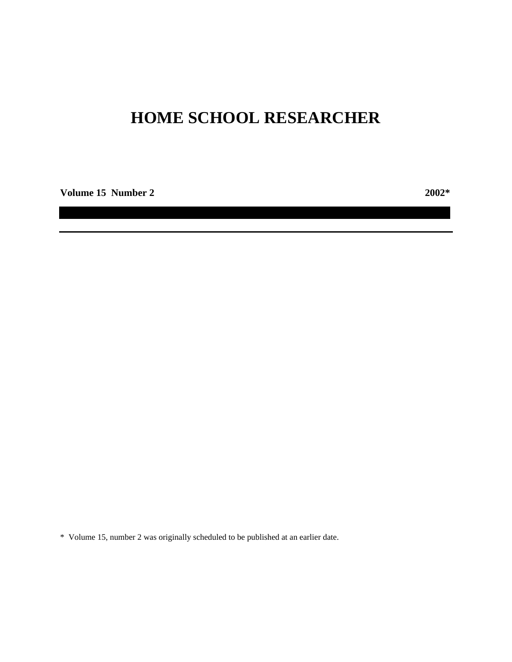# **HOME SCHOOL RESEARCHER**

**Volume 15 Number 2 2002\***

\* Volume 15, number 2 was originally scheduled to be published at an earlier date.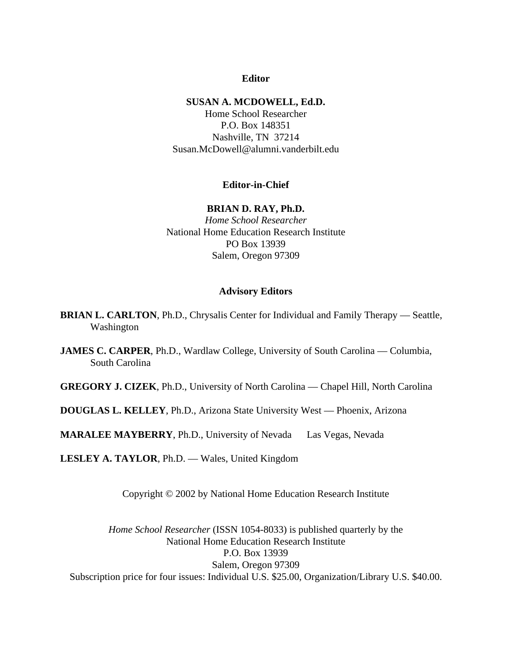# **Editor**

## **SUSAN A. MCDOWELL, Ed.D.**

Home School Researcher P.O. Box 148351 Nashville, TN 37214 Susan.McDowell@alumni.vanderbilt.edu

# **Editor-in-Chief**

# **BRIAN D. RAY, Ph.D.**

*Home School Researcher* National Home Education Research Institute PO Box 13939 Salem, Oregon 97309

# **Advisory Editors**

- **BRIAN L. CARLTON**, Ph.D., Chrysalis Center for Individual and Family Therapy Seattle, Washington
- **JAMES C. CARPER**, Ph.D., Wardlaw College, University of South Carolina Columbia, South Carolina
- **GREGORY J. CIZEK**, Ph.D., University of North Carolina Chapel Hill, North Carolina
- **DOUGLAS L. KELLEY**, Ph.D., Arizona State University West –– Phoenix, Arizona

**MARALEE MAYBERRY**, Ph.D., University of Nevada — Las Vegas, Nevada

**LESLEY A. TAYLOR**, Ph.D. — Wales, United Kingdom

Copyright © 2002 by National Home Education Research Institute

*Home School Researcher* (ISSN 1054-8033) is published quarterly by the National Home Education Research Institute P.O. Box 13939 Salem, Oregon 97309 Subscription price for four issues: Individual U.S. \$25.00, Organization/Library U.S. \$40.00.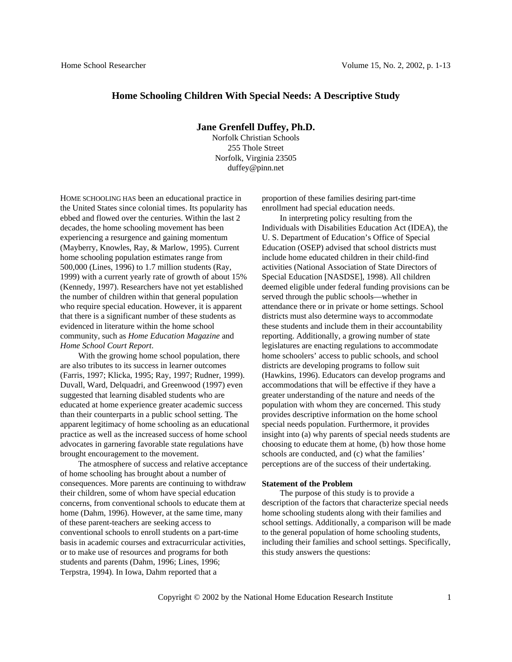## **Home Schooling Children With Special Needs: A Descriptive Study**

## **Jane Grenfell Duffey, Ph.D.**

Norfolk Christian Schools 255 Thole Street Norfolk, Virginia 23505 duffey@pinn.net

HOME SCHOOLING HAS been an educational practice in the United States since colonial times. Its popularity has ebbed and flowed over the centuries. Within the last 2 decades, the home schooling movement has been experiencing a resurgence and gaining momentum (Mayberry, Knowles, Ray, & Marlow, 1995). Current home schooling population estimates range from 500,000 (Lines, 1996) to 1.7 million students (Ray, 1999) with a current yearly rate of growth of about 15% (Kennedy, 1997). Researchers have not yet established the number of children within that general population who require special education. However, it is apparent that there is a significant number of these students as evidenced in literature within the home school community, such as *Home Education Magazine* and *Home School Court Report*.

With the growing home school population, there are also tributes to its success in learner outcomes (Farris, 1997; Klicka, 1995; Ray, 1997; Rudner, 1999). Duvall, Ward, Delquadri, and Greenwood (1997) even suggested that learning disabled students who are educated at home experience greater academic success than their counterparts in a public school setting. The apparent legitimacy of home schooling as an educational practice as well as the increased success of home school advocates in garnering favorable state regulations have brought encouragement to the movement.

The atmosphere of success and relative acceptance of home schooling has brought about a number of consequences. More parents are continuing to withdraw their children, some of whom have special education concerns, from conventional schools to educate them at home (Dahm, 1996). However, at the same time, many of these parent-teachers are seeking access to conventional schools to enroll students on a part-time basis in academic courses and extracurricular activities, or to make use of resources and programs for both students and parents (Dahm, 1996; Lines, 1996; Terpstra, 1994). In Iowa, Dahm reported that a

proportion of these families desiring part-time enrollment had special education needs.

In interpreting policy resulting from the Individuals with Disabilities Education Act (IDEA), the U. S. Department of Education's Office of Special Education (OSEP) advised that school districts must include home educated children in their child-find activities (National Association of State Directors of Special Education [NASDSE], 1998). All children deemed eligible under federal funding provisions can be served through the public schools—whether in attendance there or in private or home settings. School districts must also determine ways to accommodate these students and include them in their accountability reporting. Additionally, a growing number of state legislatures are enacting regulations to accommodate home schoolers' access to public schools, and school districts are developing programs to follow suit (Hawkins, 1996). Educators can develop programs and accommodations that will be effective if they have a greater understanding of the nature and needs of the population with whom they are concerned. This study provides descriptive information on the home school special needs population. Furthermore, it provides insight into (a) why parents of special needs students are choosing to educate them at home, (b) how those home schools are conducted, and (c) what the families' perceptions are of the success of their undertaking.

#### **Statement of the Problem**

The purpose of this study is to provide a description of the factors that characterize special needs home schooling students along with their families and school settings. Additionally, a comparison will be made to the general population of home schooling students, including their families and school settings. Specifically, this study answers the questions: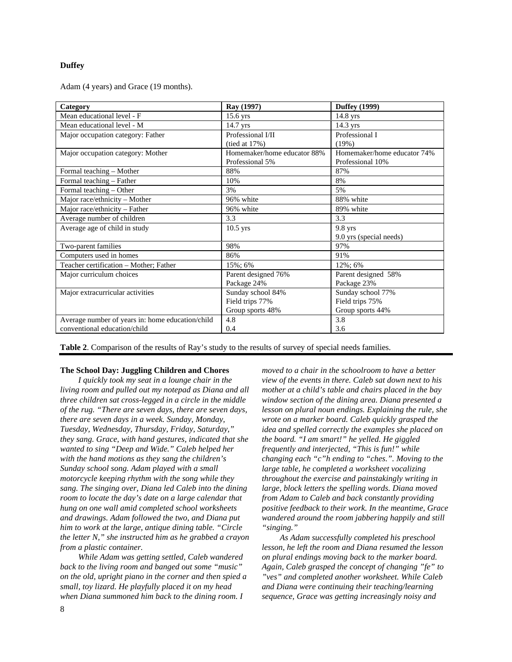#### **Duffey**

Adam (4 years) and Grace (19 months).

| Category                                         | Ray (1997)                  | <b>Duffey</b> (1999)        |
|--------------------------------------------------|-----------------------------|-----------------------------|
| Mean educational level - F                       | 15.6 yrs                    | $14.8$ yrs                  |
| Mean educational level - M                       | $14.7$ yrs                  | $14.3$ yrs                  |
| Major occupation category: Father                | Professional I/II           | Professional I              |
|                                                  | (tied at 17%)               | (19%)                       |
| Major occupation category: Mother                | Homemaker/home educator 88% | Homemaker/home educator 74% |
|                                                  | Professional 5%             | Professional 10%            |
| Formal teaching - Mother                         | 88%                         | 87%                         |
| Formal teaching – Father                         | 10%                         | 8%                          |
| Formal teaching - Other                          | 3%                          | 5%                          |
| Major race/ethnicity - Mother                    | 96% white                   | 88% white                   |
| Major race/ethnicity - Father                    | 96% white                   | 89% white                   |
| Average number of children                       | 3.3                         | 3.3                         |
| Average age of child in study                    | $10.5$ yrs                  | $9.8$ yrs                   |
|                                                  |                             | 9.0 yrs (special needs)     |
| Two-parent families                              | 98%                         | 97%                         |
| Computers used in homes                          | 86%                         | 91%                         |
| Teacher certification - Mother; Father           | 15%; 6%                     | 12%; 6%                     |
| Major curriculum choices                         | Parent designed 76%         | Parent designed 58%         |
|                                                  | Package 24%                 | Package 23%                 |
| Major extracurricular activities                 | Sunday school 84%           | Sunday school 77%           |
|                                                  | Field trips 77%             | Field trips 75%             |
|                                                  | Group sports 48%            | Group sports 44%            |
| Average number of years in: home education/child | 4.8                         | 3.8                         |
| conventional education/child                     | 0.4                         | 3.6                         |

**Table 2**. Comparison of the results of Ray's study to the results of survey of special needs families.

#### **The School Day: Juggling Children and Chores**

*I quickly took my seat in a lounge chair in the living room and pulled out my notepad as Diana and all three children sat cross-legged in a circle in the middle of the rug. "There are seven days, there are seven days, there are seven days in a week. Sunday, Monday, Tuesday, Wednesday, Thursday, Friday, Saturday," they sang. Grace, with hand gestures, indicated that she wanted to sing "Deep and Wide." Caleb helped her with the hand motions as they sang the children's Sunday school song. Adam played with a small motorcycle keeping rhythm with the song while they sang. The singing over, Diana led Caleb into the dining room to locate the day's date on a large calendar that hung on one wall amid completed school worksheets and drawings. Adam followed the two, and Diana put him to work at the large, antique dining table. "Circle the letter N," she instructed him as he grabbed a crayon from a plastic container.*

*While Adam was getting settled, Caleb wandered back to the living room and banged out some "music" on the old, upright piano in the corner and then spied a small, toy lizard. He playfully placed it on my head when Diana summoned him back to the dining room. I*

*moved to a chair in the schoolroom to have a better view of the events in there. Caleb sat down next to his mother at a child's table and chairs placed in the bay window section of the dining area. Diana presented a lesson on plural noun endings. Explaining the rule, she wrote on a marker board. Caleb quickly grasped the idea and spelled correctly the examples she placed on the board. "I am smart!" he yelled. He giggled frequently and interjected, "This is fun!" while changing each "c"h ending to "ches.". Moving to the large table, he completed a worksheet vocalizing throughout the exercise and painstakingly writing in large, block letters the spelling words. Diana moved from Adam to Caleb and back constantly providing positive feedback to their work. In the meantime, Grace wandered around the room jabbering happily and still "singing."*

*As Adam successfully completed his preschool lesson, he left the room and Diana resumed the lesson on plural endings moving back to the marker board. Again, Caleb grasped the concept of changing "fe" to "ves" and completed another worksheet. While Caleb and Diana were continuing their teaching/learning sequence, Grace was getting increasingly noisy and*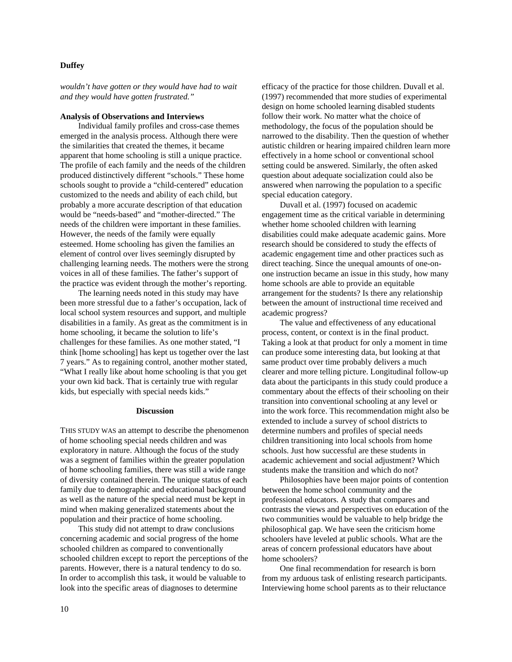### **Duffey**

*wouldn't have gotten or they would have had to wait and they would have gotten frustrated."*

#### **Analysis of Observations and Interviews**

Individual family profiles and cross-case themes emerged in the analysis process. Although there were the similarities that created the themes, it became apparent that home schooling is still a unique practice. The profile of each family and the needs of the children produced distinctively different "schools." These home schools sought to provide a "child-centered" education customized to the needs and ability of each child, but probably a more accurate description of that education would be "needs-based" and "mother-directed." The needs of the children were important in these families. However, the needs of the family were equally esteemed. Home schooling has given the families an element of control over lives seemingly disrupted by challenging learning needs. The mothers were the strong voices in all of these families. The father's support of the practice was evident through the mother's reporting.

The learning needs noted in this study may have been more stressful due to a father's occupation, lack of local school system resources and support, and multiple disabilities in a family. As great as the commitment is in home schooling, it became the solution to life's challenges for these families. As one mother stated, "I think [home schooling] has kept us together over the last 7 years." As to regaining control, another mother stated, "What I really like about home schooling is that you get your own kid back. That is certainly true with regular kids, but especially with special needs kids."

#### **Discussion**

THIS STUDY WAS an attempt to describe the phenomenon of home schooling special needs children and was exploratory in nature. Although the focus of the study was a segment of families within the greater population of home schooling families, there was still a wide range of diversity contained therein. The unique status of each family due to demographic and educational background as well as the nature of the special need must be kept in mind when making generalized statements about the population and their practice of home schooling.

This study did not attempt to draw conclusions concerning academic and social progress of the home schooled children as compared to conventionally schooled children except to report the perceptions of the parents. However, there is a natural tendency to do so. In order to accomplish this task, it would be valuable to look into the specific areas of diagnoses to determine

efficacy of the practice for those children. Duvall et al. (1997) recommended that more studies of experimental design on home schooled learning disabled students follow their work. No matter what the choice of methodology, the focus of the population should be narrowed to the disability. Then the question of whether autistic children or hearing impaired children learn more effectively in a home school or conventional school setting could be answered. Similarly, the often asked question about adequate socialization could also be answered when narrowing the population to a specific special education category.

Duvall et al. (1997) focused on academic engagement time as the critical variable in determining whether home schooled children with learning disabilities could make adequate academic gains. More research should be considered to study the effects of academic engagement time and other practices such as direct teaching. Since the unequal amounts of one-onone instruction became an issue in this study, how many home schools are able to provide an equitable arrangement for the students? Is there any relationship between the amount of instructional time received and academic progress?

The value and effectiveness of any educational process, content, or context is in the final product. Taking a look at that product for only a moment in time can produce some interesting data, but looking at that same product over time probably delivers a much clearer and more telling picture. Longitudinal follow-up data about the participants in this study could produce a commentary about the effects of their schooling on their transition into conventional schooling at any level or into the work force. This recommendation might also be extended to include a survey of school districts to determine numbers and profiles of special needs children transitioning into local schools from home schools. Just how successful are these students in academic achievement and social adjustment? Which students make the transition and which do not?

Philosophies have been major points of contention between the home school community and the professional educators. A study that compares and contrasts the views and perspectives on education of the two communities would be valuable to help bridge the philosophical gap. We have seen the criticism home schoolers have leveled at public schools. What are the areas of concern professional educators have about home schoolers?

One final recommendation for research is born from my arduous task of enlisting research participants. Interviewing home school parents as to their reluctance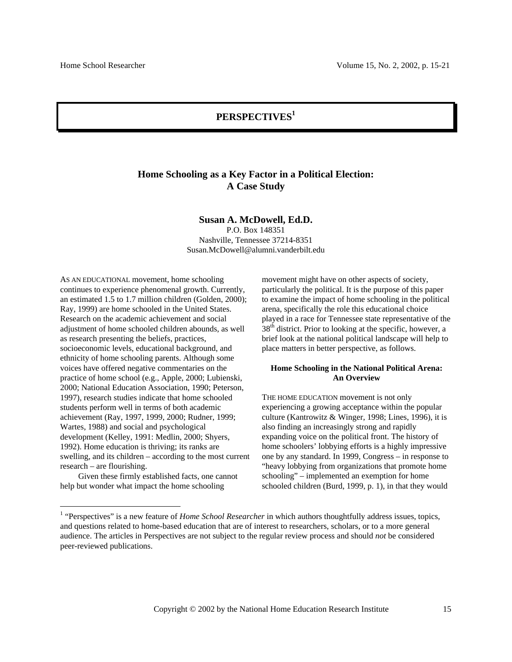# **PERSPECTIVES1**

# **Home Schooling as a Key Factor in a Political Election: A Case Study**

#### **Susan A. McDowell, Ed.D.**

P.O. Box 148351 Nashville, Tennessee 37214-8351 Susan.McDowell@alumni.vanderbilt.edu

AS AN EDUCATIONAL movement, home schooling continues to experience phenomenal growth. Currently, an estimated 1.5 to 1.7 million children (Golden, 2000); Ray, 1999) are home schooled in the United States. Research on the academic achievement and social adjustment of home schooled children abounds, as well as research presenting the beliefs, practices, socioeconomic levels, educational background, and ethnicity of home schooling parents. Although some voices have offered negative commentaries on the practice of home school (e.g., Apple, 2000; Lubienski, 2000; National Education Association, 1990; Peterson, 1997), research studies indicate that home schooled students perform well in terms of both academic achievement (Ray, 1997, 1999, 2000; Rudner, 1999; Wartes, 1988) and social and psychological development (Kelley, 1991: Medlin, 2000; Shyers, 1992). Home education is thriving; its ranks are swelling, and its children – according to the most current research – are flourishing.

Given these firmly established facts, one cannot help but wonder what impact the home schooling

movement might have on other aspects of society, particularly the political. It is the purpose of this paper to examine the impact of home schooling in the political arena, specifically the role this educational choice played in a race for Tennessee state representative of the  $38<sup>th</sup>$  district. Prior to looking at the specific, however, a brief look at the national political landscape will help to place matters in better perspective, as follows.

#### **Home Schooling in the National Political Arena: An Overview**

THE HOME EDUCATION movement is not only experiencing a growing acceptance within the popular culture (Kantrowitz & Winger, 1998; Lines, 1996), it is also finding an increasingly strong and rapidly expanding voice on the political front. The history of home schoolers' lobbying efforts is a highly impressive one by any standard. In 1999, Congress – in response to "heavy lobbying from organizations that promote home schooling" – implemented an exemption for home schooled children (Burd, 1999, p. 1), in that they would

 $\frac{1}{1}$ <sup>1</sup> "Perspectives" is a new feature of *Home School Researcher* in which authors thoughtfully address issues, topics, and questions related to home-based education that are of interest to researchers, scholars, or to a more general audience. The articles in Perspectives are not subject to the regular review process and should *not* be considered peer-reviewed publications.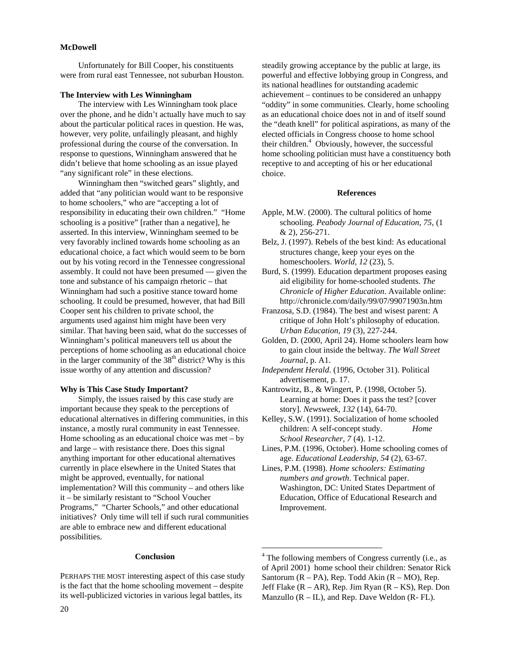#### **McDowell**

Unfortunately for Bill Cooper, his constituents were from rural east Tennessee, not suburban Houston.

#### **The Interview with Les Winningham**

The interview with Les Winningham took place over the phone, and he didn't actually have much to say about the particular political races in question. He was, however, very polite, unfailingly pleasant, and highly professional during the course of the conversation. In response to questions, Winningham answered that he didn't believe that home schooling as an issue played "any significant role" in these elections.

Winningham then "switched gears" slightly, and added that "any politician would want to be responsive to home schoolers," who are "accepting a lot of responsibility in educating their own children." "Home schooling is a positive" [rather than a negative], he asserted. In this interview, Winningham seemed to be very favorably inclined towards home schooling as an educational choice, a fact which would seem to be born out by his voting record in the Tennessee congressional assembly. It could not have been presumed — given the tone and substance of his campaign rhetoric – that Winningham had such a positive stance toward home schooling. It could be presumed, however, that had Bill Cooper sent his children to private school, the arguments used against him might have been very similar. That having been said, what do the successes of Winningham's political maneuvers tell us about the perceptions of home schooling as an educational choice in the larger community of the  $38<sup>th</sup>$  district? Why is this issue worthy of any attention and discussion?

## **Why is This Case Study Important?**

Simply, the issues raised by this case study are important because they speak to the perceptions of educational alternatives in differing communities, in this instance, a mostly rural community in east Tennessee. Home schooling as an educational choice was met – by and large – with resistance there. Does this signal anything important for other educational alternatives currently in place elsewhere in the United States that might be approved, eventually, for national implementation? Will this community – and others like it – be similarly resistant to "School Voucher Programs," "Charter Schools," and other educational initiatives? Only time will tell if such rural communities are able to embrace new and different educational possibilities.

## **Conclusion**

PERHAPS THE MOST interesting aspect of this case study is the fact that the home schooling movement – despite its well-publicized victories in various legal battles, its

steadily growing acceptance by the public at large, its powerful and effective lobbying group in Congress, and its national headlines for outstanding academic achievement – continues to be considered an unhappy "oddity" in some communities. Clearly, home schooling as an educational choice does not in and of itself sound the "death knell" for political aspirations, as many of the elected officials in Congress choose to home school their children.<sup>4</sup> Obviously, however, the successful home schooling politician must have a constituency both receptive to and accepting of his or her educational choice.

## **References**

- Apple, M.W. (2000). The cultural politics of home schooling. *Peabody Journal of Education, 75*, (1 & 2), 256-271.
- Belz, J. (1997). Rebels of the best kind: As educational structures change, keep your eyes on the homeschoolers. *World, 12* (23), 5.
- Burd, S. (1999). Education department proposes easing aid eligibility for home-schooled students. *The Chronicle of Higher Education*. Available online: http://chronicle.com/daily/99/07/99071903n.htm
- Franzosa, S.D. (1984). The best and wisest parent: A critique of John Holt's philosophy of education. *Urban Education, 19* (3), 227-244.
- Golden, D. (2000, April 24). Home schoolers learn how to gain clout inside the beltway. *The Wall Street Journal*, p. A1.
- *Independent Herald*. (1996, October 31). Political advertisement, p. 17.
- Kantrowitz, B., & Wingert, P. (1998, October 5). Learning at home: Does it pass the test? [cover story]. *Newsweek, 132* (14), 64-70.
- Kelley, S.W. (1991). Socialization of home schooled children: A self-concept study. *Home School Researcher, 7* (4). 1-12.
- Lines, P.M. (1996, October). Home schooling comes of age. *Educational Leadership, 54* (2), 63-67.
- Lines, P.M. (1998). *Home schoolers: Estimating numbers and growth*. Technical paper. Washington, DC: United States Department of Education, Office of Educational Research and Improvement.

 $\frac{1}{4}$ <sup>4</sup> The following members of Congress currently (i.e., as of April 2001) home school their children: Senator Rick Santorum  $(R - PA)$ , Rep. Todd Akin  $(R - MO)$ , Rep. Jeff Flake  $(R - AR)$ , Rep. Jim Ryan  $(R - KS)$ , Rep. Don Manzullo  $(R - IL)$ , and Rep. Dave Weldon  $(R - FL)$ .